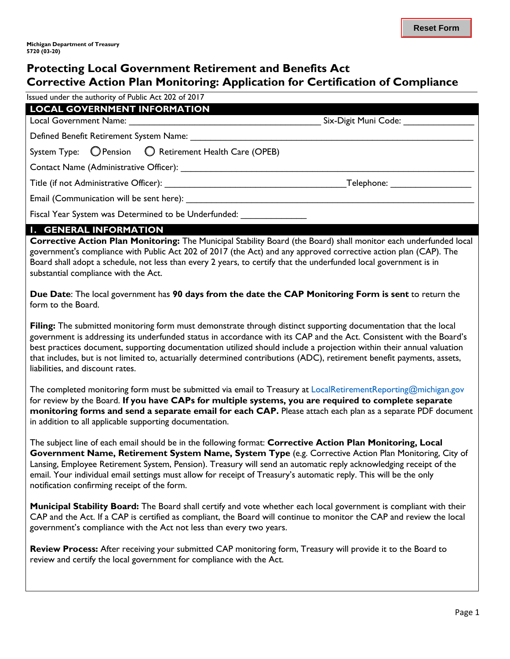# **Protecting Local Government Retirement and Benefits Act Corrective Action Plan Monitoring: Application for Certification of Compliance**

Issued under the authority of Public Act 202 of 2017

| <b>LOCAL GOVERNMENT INFORMATION</b>                                           |  |
|-------------------------------------------------------------------------------|--|
|                                                                               |  |
| Defined Benefit Retirement System Name: Name:                                 |  |
| System Type: O Pension O Retirement Health Care (OPEB)                        |  |
| Contact Name (Administrative Officer): Contact Name (Administrative Officer): |  |
|                                                                               |  |
| Email (Communication will be sent here):                                      |  |
| Fiscal Year System was Determined to be Underfunded:                          |  |

#### **1. GENERAL INFORMATION**

**Corrective Action Plan Monitoring:** The Municipal Stability Board (the Board) shall monitor each underfunded local government's compliance with Public Act 202 of 2017 (the Act) and any approved corrective action plan (CAP). The Board shall adopt a schedule, not less than every 2 years, to certify that the underfunded local government is in substantial compliance with the Act.

**Due Date**: The local government has **90 days from the date the CAP Monitoring Form is sent** to return the form to the Board.

**Filing:** The submitted monitoring form must demonstrate through distinct supporting documentation that the local government is addressing its underfunded status in accordance with its CAP and the Act. Consistent with the Board's best practices document, supporting documentation utilized should include a projection within their annual valuation that includes, but is not limited to, actuarially determined contributions (ADC), retirement benefit payments, assets, liabilities, and discount rates.

The completed monitoring form must be submitted via email to Treasury at LocalRetirementReporting@michigan.gov for review by the Board. **If you have CAPs for multiple systems, you are required to complete separate monitoring forms and send a separate email for each CAP.** Please attach each plan as a separate PDF document in addition to all applicable supporting documentation.

The subject line of each email should be in the following format: **Corrective Action Plan Monitoring, Local Government Name, Retirement System Name, System Type** (e.g. Corrective Action Plan Monitoring, City of Lansing, Employee Retirement System, Pension). Treasury will send an automatic reply acknowledging receipt of the email. Your individual email settings must allow for receipt of Treasury's automatic reply. This will be the only notification confirming receipt of the form.

**Municipal Stability Board:** The Board shall certify and vote whether each local government is compliant with their CAP and the Act. If a CAP is certified as compliant, the Board will continue to monitor the CAP and review the local government's compliance with the Act not less than every two years.

**Review Process:** After receiving your submitted CAP monitoring form, Treasury will provide it to the Board to review and certify the local government for compliance with the Act.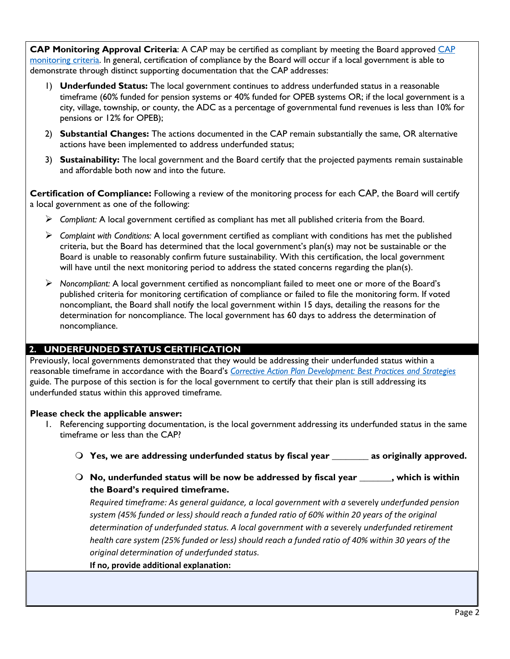**CAP Monitoring Approval Criteria**: A CAP may be certified as compliant by meeting the Board approved CAP [monitoring criteria. In general, certification of compliance by the Board will occur if a local government is able to](https://www.michigan.gov/documents/treasury/Corrective_Action_Plan_Monitoring_Policies_and_Procedures_vf_666838_7.pdf)  demonstrate through distinct supporting documentation that the CAP addresses:

- 1) **Underfunded Status:** The local government continues to address underfunded status in a reasonable timeframe (60% funded for pension systems or 40% funded for OPEB systems OR; if the local government is a city, village, township, or county, the ADC as a percentage of governmental fund revenues is less than 10% for pensions or 12% for OPEB);
- 2) **Substantial Changes:** The actions documented in the CAP remain substantially the same, OR alternative actions have been implemented to address underfunded status;
- 3) **Sustainability:** The local government and the Board certify that the projected payments remain sustainable and affordable both now and into the future.

**Certification of Compliance:** Following a review of the monitoring process for each CAP, the Board will certify a local government as one of the following:

- *Compliant:* A local government certified as compliant has met all published criteria from the Board.
- *Complaint with Conditions:* A local government certified as compliant with conditions has met the published criteria, but the Board has determined that the local government's plan(s) may not be sustainable or the Board is unable to reasonably confirm future sustainability. With this certification, the local government will have until the next monitoring period to address the stated concerns regarding the plan(s).
- *Noncompliant:* A local government certified as noncompliant failed to meet one or more of the Board's published criteria for monitoring certification of compliance or failed to file the monitoring form. If voted noncompliant, the Board shall notify the local government within 15 days, detailing the reasons for the determination for noncompliance. The local government has 60 days to address the determination of noncompliance.

## **2. UNDERFUNDED STATUS CERTIFICATION**

Previously, local governments demonstrated that they would be addressing their underfunded status within a reasonable timeframe in accordance with the Board's *[Corrective Action Plan Development: Best Practices and Strategies](https://www.michigan.gov/documents/treasury/MSB_Best_Practices_and_Strategies_661181_7.pdf)*  guide. The purpose of this section is for the local government to certify that their plan is still addressing its underfunded status within this approved timeframe.

### **Please check the applicable answer:**

- 1. Referencing supporting documentation, is the local government addressing its underfunded status in the same timeframe or less than the CAP?
	- **Yes, we are addressing underfunded status by fiscal year \_\_\_\_\_\_\_\_ as originally approved.**
	- **No, underfunded status will be now be addressed by fiscal year \_\_\_\_\_\_\_, which is within the Board's required timeframe.**

*Required timeframe: As general guidance, a local government with a* severely *underfunded pension system (45% funded or less) should reach a funded ratio of 60% within 20 years of the original determination of underfunded status. A local government with a* severely *underfunded retirement health care system (25% funded or less) should reach a funded ratio of 40% within 30 years of the original determination of underfunded status.*

**If no, provide additional explanation:**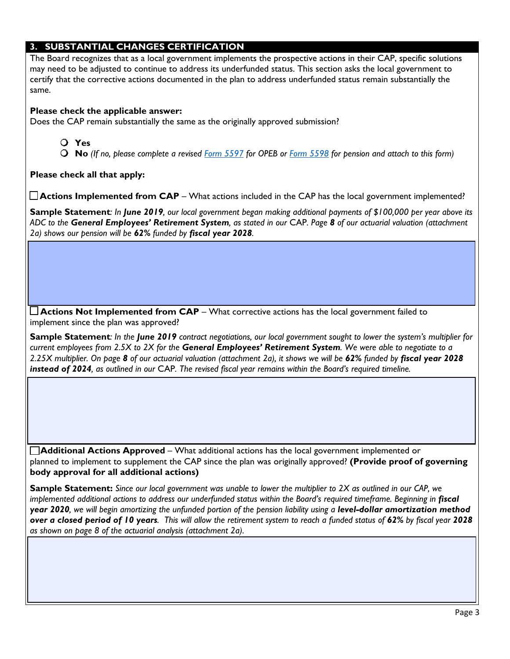### **3. SUBSTANTIAL CHANGES CERTIFICATION**

The Board recognizes that as a local government implements the prospective actions in their CAP, specific solutions may need to be adjusted to continue to address its underfunded status. This section asks the local government to certify that the corrective actions documented in the plan to address underfunded status remain substantially the same.

#### **Please check the applicable answer:**

Does the CAP remain substantially the same as the originally approved submission?

**Yes**

**No** *(If no, please complete a revised [Form 5597](https://www.michigan.gov/documents/treasury/Form_5597_CAP_Retirement_Health_Care_623913_7.pdf) for OPEB or [Form 5598](https://www.michigan.gov/documents/treasury/Form_5598_CAP_Defined_Benefit_Pension_623918_7.pdf) for pension and attach to this form)*

**Please check all that apply:** 

**Actions Implemented from CAP** – What actions included in the CAP has the local government implemented?

**Sample Statement***: In June 2019, our local government began making additional payments of \$100,000 per year above its ADC to the General Employees' Retirement System, as stated in our* CAP*. Page 8 of our actuarial valuation (attachment 2a) shows our pension will be 62% funded by fiscal year 2028.* 

**Actions Not Implemented from CAP** – What corrective actions has the local government failed to implement since the plan was approved?

**Sample Statement***: In the June 2019 contract negotiations, our local government sought to lower the system's multiplier for current employees from 2.5X to 2X for the General Employees' Retirement System. We were able to negotiate to a 2.25X multiplier. On page 8 of our actuarial valuation (attachment 2a), it shows we will be 62% funded by fiscal year 2028 instead of 2024, as outlined in our* CAP*. The revised fiscal year remains within the Board's required timeline.* 

**Additional Actions Approved** – What additional actions has the local government implemented or planned to implement to supplement the CAP since the plan was originally approved? **(Provide proof of governing body approval for all additional actions)** 

**Sample Statement:** *Since our local government was unable to lower the multiplier to 2X as outlined in our CAP, we implemented additional actions to address our underfunded status within the Board's required timeframe. Beginning in <i>fiscal* **year 2020**, we will begin amortizing the unfunded portion of the pension liability using a **level-dollar amortization method** *over a closed period of 10 years. This will allow the retirement system to reach a funded status of 62% by fiscal year 2028 as shown on page 8 of the actuarial analysis (attachment 2a).*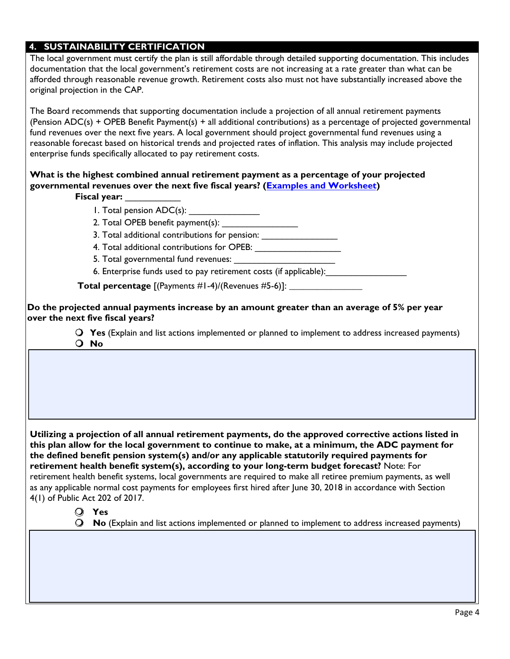#### **4. SUSTAINABILITY CERTIFICATION**

The local government must certify the plan is still affordable through detailed supporting documentation. This includes documentation that the local government's retirement costs are not increasing at a rate greater than what can be afforded through reasonable revenue growth. Retirement costs also must not have substantially increased above the original projection in the CAP.

The Board recommends that supporting documentation include a projection of all annual retirement payments (Pension ADC(s) + OPEB Benefit Payment(s) + all additional contributions) as a percentage of projected governmental fund revenues over the next five years. A local government should project governmental fund revenues using a reasonable forecast based on historical trends and projected rates of inflation. This analysis may include projected enterprise funds specifically allocated to pay retirement costs.

#### **governmental revenues over the next five fiscal years? (Examples [and Worksheet](http://www.michigan.gov/documents/treasury/Sustainability_Calculation_Spreadsheet_703693_7.xlsx)) What is the highest combined annual retirement payment as a percentage of your projected**

**Fiscal year:** \_\_\_\_\_\_\_\_\_\_\_

1. Total pension ADC(s): \_\_\_\_\_\_\_\_\_\_\_\_\_\_

2. Total OPEB benefit payment(s): \_\_\_\_\_\_\_\_\_\_\_\_\_\_\_

3. Total additional contributions for pension: \_\_\_\_\_\_\_\_\_\_\_\_\_\_\_\_\_\_\_\_\_\_\_\_\_\_\_\_\_\_\_\_\_

4. Total additional contributions for OPEB: \_\_\_\_\_\_\_\_\_\_\_\_\_\_\_\_\_

5. Total governmental fund revenues:

6. Enterprise funds used to pay retirement costs (if applicable):

**Total percentage** [(Payments #1-4)/(Revenues #5-6)]: **\_\_\_\_\_\_\_\_\_\_\_\_\_\_\_\_** 

**Do the projected annual payments increase by an amount greater than an average of 5% per year over the next five fiscal years?** 

> **Yes** (Explain and list actions implemented or planned to implement to address increased payments) **No**

**Utilizing a projection of all annual retirement payments, do the approved corrective actions listed in this plan allow for the local government to continue to make, at a minimum, the ADC payment for the defined benefit pension system(s) and/or any applicable statutorily required payments for retirement health benefit system(s), according to your long-term budget forecast?** Note: For retirement health benefit systems, local governments are required to make all retiree premium payments, as well as any applicable normal cost payments for employees first hired after June 30, 2018 in accordance with Section 4(1) of Public Act 202 of 2017.

### **Yes**

**No** (Explain and list actions implemented or planned to implement to address increased payments)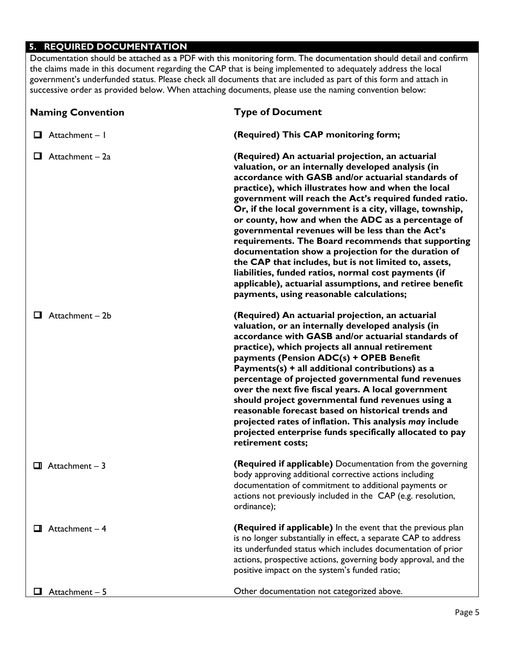### **5. REQUIRED DOCUMENTATION**

Documentation should be attached as a PDF with this monitoring form. The documentation should detail and confirm the claims made in this document regarding the CAP that is being implemented to adequately address the local government's underfunded status. Please check all documents that are included as part of this form and attach in successive order as provided below. When attaching documents, please use the naming convention below:

| <b>Naming Convention</b> | <b>Type of Document</b>                                                                                                                                                                                                                                                                                                                                                                                                                                                                                                                                                                                                                                                                                                                                                                    |
|--------------------------|--------------------------------------------------------------------------------------------------------------------------------------------------------------------------------------------------------------------------------------------------------------------------------------------------------------------------------------------------------------------------------------------------------------------------------------------------------------------------------------------------------------------------------------------------------------------------------------------------------------------------------------------------------------------------------------------------------------------------------------------------------------------------------------------|
| Attachment - I<br>ப      | (Required) This CAP monitoring form;                                                                                                                                                                                                                                                                                                                                                                                                                                                                                                                                                                                                                                                                                                                                                       |
| Attachment - 2a<br>ш     | (Required) An actuarial projection, an actuarial<br>valuation, or an internally developed analysis (in<br>accordance with GASB and/or actuarial standards of<br>practice), which illustrates how and when the local<br>government will reach the Act's required funded ratio.<br>Or, if the local government is a city, village, township,<br>or county, how and when the ADC as a percentage of<br>governmental revenues will be less than the Act's<br>requirements. The Board recommends that supporting<br>documentation show a projection for the duration of<br>the CAP that includes, but is not limited to, assets,<br>liabilities, funded ratios, normal cost payments (if<br>applicable), actuarial assumptions, and retiree benefit<br>payments, using reasonable calculations; |
| Attachment – 2b<br>ப     | (Required) An actuarial projection, an actuarial<br>valuation, or an internally developed analysis (in<br>accordance with GASB and/or actuarial standards of<br>practice), which projects all annual retirement<br>payments (Pension ADC(s) + OPEB Benefit<br>Payments(s) + all additional contributions) as a<br>percentage of projected governmental fund revenues<br>over the next five fiscal years. A local government<br>should project governmental fund revenues using a<br>reasonable forecast based on historical trends and<br>projected rates of inflation. This analysis may include<br>projected enterprise funds specifically allocated to pay<br>retirement costs;                                                                                                         |
| $\Box$ Attachment - 3    | (Required if applicable) Documentation from the governing<br>body approving additional corrective actions including<br>documentation of commitment to additional payments or<br>actions not previously included in the CAP (e.g. resolution,<br>ordinance);                                                                                                                                                                                                                                                                                                                                                                                                                                                                                                                                |
| Attachment - 4           | (Required if applicable) In the event that the previous plan<br>is no longer substantially in effect, a separate CAP to address<br>its underfunded status which includes documentation of prior<br>actions, prospective actions, governing body approval, and the<br>positive impact on the system's funded ratio;                                                                                                                                                                                                                                                                                                                                                                                                                                                                         |
| Attachment - 5           | Other documentation not categorized above.                                                                                                                                                                                                                                                                                                                                                                                                                                                                                                                                                                                                                                                                                                                                                 |